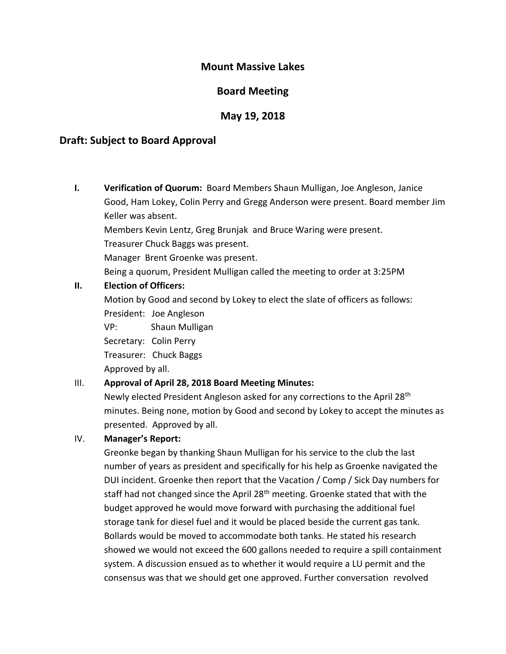## **Mount Massive Lakes**

# **Board Meeting**

## **May 19, 2018**

## **Draft: Subject to Board Approval**

**I. Verification of Quorum:** Board Members Shaun Mulligan, Joe Angleson, Janice Good, Ham Lokey, Colin Perry and Gregg Anderson were present. Board member Jim Keller was absent. Members Kevin Lentz, Greg Brunjak and Bruce Waring were present. Treasurer Chuck Baggs was present. Manager Brent Groenke was present. Being a quorum, President Mulligan called the meeting to order at 3:25PM

### **II. Election of Officers:**

Motion by Good and second by Lokey to elect the slate of officers as follows: President: Joe Angleson

VP: Shaun Mulligan

Secretary: Colin Perry

Treasurer: Chuck Baggs

Approved by all.

## III. **Approval of April 28, 2018 Board Meeting Minutes:**

Newly elected President Angleson asked for any corrections to the April 28<sup>th</sup> minutes. Being none, motion by Good and second by Lokey to accept the minutes as presented. Approved by all.

#### IV. **Manager's Report:**

Greonke began by thanking Shaun Mulligan for his service to the club the last number of years as president and specifically for his help as Groenke navigated the DUI incident. Groenke then report that the Vacation / Comp / Sick Day numbers for staff had not changed since the April 28<sup>th</sup> meeting. Groenke stated that with the budget approved he would move forward with purchasing the additional fuel storage tank for diesel fuel and it would be placed beside the current gas tank. Bollards would be moved to accommodate both tanks. He stated his research showed we would not exceed the 600 gallons needed to require a spill containment system. A discussion ensued as to whether it would require a LU permit and the consensus was that we should get one approved. Further conversation revolved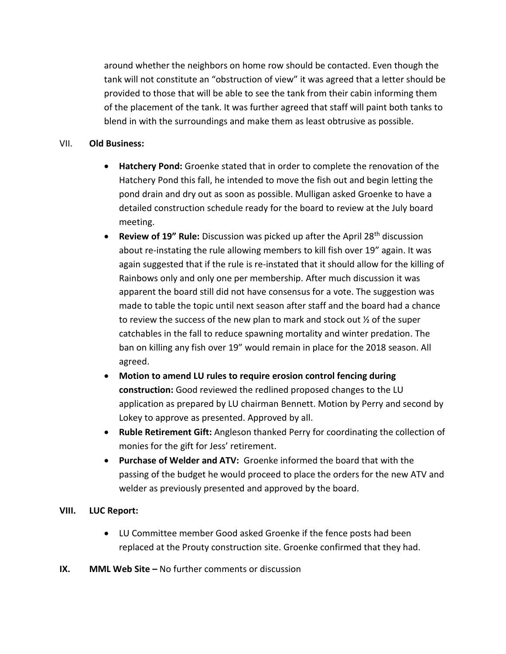around whether the neighbors on home row should be contacted. Even though the tank will not constitute an "obstruction of view" it was agreed that a letter should be provided to those that will be able to see the tank from their cabin informing them of the placement of the tank. It was further agreed that staff will paint both tanks to blend in with the surroundings and make them as least obtrusive as possible.

### VII. **Old Business:**

- **Hatchery Pond:** Groenke stated that in order to complete the renovation of the Hatchery Pond this fall, he intended to move the fish out and begin letting the pond drain and dry out as soon as possible. Mulligan asked Groenke to have a detailed construction schedule ready for the board to review at the July board meeting.
- **Review of 19" Rule:** Discussion was picked up after the April 28<sup>th</sup> discussion about re-instating the rule allowing members to kill fish over 19" again. It was again suggested that if the rule is re-instated that it should allow for the killing of Rainbows only and only one per membership. After much discussion it was apparent the board still did not have consensus for a vote. The suggestion was made to table the topic until next season after staff and the board had a chance to review the success of the new plan to mark and stock out ½ of the super catchables in the fall to reduce spawning mortality and winter predation. The ban on killing any fish over 19" would remain in place for the 2018 season. All agreed.
- **Motion to amend LU rules to require erosion control fencing during construction:** Good reviewed the redlined proposed changes to the LU application as prepared by LU chairman Bennett. Motion by Perry and second by Lokey to approve as presented. Approved by all.
- **Ruble Retirement Gift:** Angleson thanked Perry for coordinating the collection of monies for the gift for Jess' retirement.
- **Purchase of Welder and ATV:** Groenke informed the board that with the passing of the budget he would proceed to place the orders for the new ATV and welder as previously presented and approved by the board.

## **VIII. LUC Report:**

- LU Committee member Good asked Groenke if the fence posts had been replaced at the Prouty construction site. Groenke confirmed that they had.
- **IX. MML Web Site –** No further comments or discussion